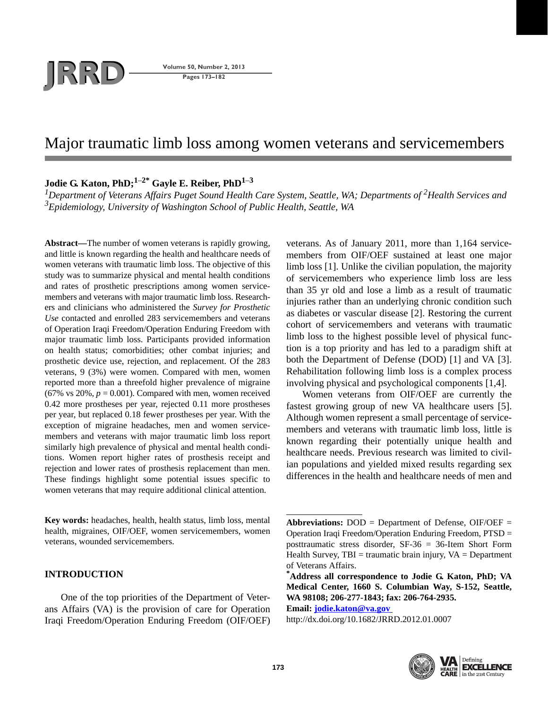# **JRD Volume 50, Number 2, 2013**<br>Pages 173–182

**Pages 173–182**

# Major traumatic limb loss among women veterans and servicemembers

**Jodie G. Katon, PhD;1**–**2\* Gayle E. Reiber, PhD1**–**<sup>3</sup>**

*1Department of Veterans Affairs Puget Sound Health Care System, Seattle, WA; Departments of 2Health Services and 3 Epidemiology, University of Washington School of Public Health, Seattle, WA*

**Abstract—**The number of women veterans is rapidly growing, and little is known regarding the health and healthcare needs of women veterans with traumatic limb loss. The objective of this study was to summarize physical and mental health conditions and rates of prosthetic prescriptions among women servicemembers and veterans with major traumatic limb loss. Researchers and clinicians who administered the *Survey for Prosthetic Use* contacted and enrolled 283 servicemembers and veterans of Operation Iraqi Freedom/Operation Enduring Freedom with major traumatic limb loss. Participants provided information on health status; comorbidities; other combat injuries; and prosthetic device use, rejection, and replacement. Of the 283 veterans, 9 (3%) were women. Compared with men, women reported more than a threefold higher prevalence of migraine (67% vs  $20\%, p = 0.001$ ). Compared with men, women received 0.42 more prostheses per year, rejected 0.11 more prostheses per year, but replaced 0.18 fewer prostheses per year. With the exception of migraine headaches, men and women servicemembers and veterans with major traumatic limb loss report similarly high prevalence of physical and mental health conditions. Women report higher rates of prosthesis receipt and rejection and lower rates of prosthesis replacement than men. These findings highlight some potential issues specific to women veterans that may require additional clinical attention.

**Key words:** headaches, health, health status, limb loss, mental health, migraines, OIF/OEF, women servicemembers, women veterans, wounded servicemembers.

# **INTRODUCTION**

One of the top priorities of the Department of Veterans Affairs (VA) is the provision of care for Operation Iraqi Freedom/Operation Enduring Freedom (OIF/OEF)

veterans. As of January 2011, more than 1,164 servicemembers from OIF/OEF sustained at least one major limb loss [1]. Unlike the civilian population, the majority of servicemembers who experience limb loss are less than 35 yr old and lose a limb as a result of traumatic injuries rather than an underlying chronic condition such as diabetes or vascular disease [2]. Restoring the current cohort of servicemembers and veterans with traumatic limb loss to the highest possible level of physical function is a top priority and has led to a paradigm shift at both the Department of Defense (DOD) [1] and VA [3]. Rehabilitation following limb loss is a complex process involving physical and psychological components [1,4].

Women veterans from OIF/OEF are currently the fastest growing group of new VA healthcare users [5]. Although women represent a small percentage of servicemembers and veterans with traumatic limb loss, little is known regarding their potentially unique health and healthcare needs. Previous research was limited to civilian populations and yielded mixed results regarding sex differences in the health and healthcare needs of men and

**Email: jodie.katon@va.gov**

http://dx.doi.org/10.1682/JRRD.2012.01.0007



**Abbreviations:** DOD = Department of Defense, OIF/OEF = Operation Iraqi Freedom/Operation Enduring Freedom, PTSD = posttraumatic stress disorder, SF-36 = 36-Item Short Form Health Survey,  $TBI = \text{tr}$  traumatic brain injury,  $VA = \text{Department}$ of Veterans Affairs.

**<sup>\*</sup> Address all correspondence to Jodie G. Katon, PhD; VA Medical Center, 1660 S. Columbian Way, S-152, Seattle, WA 98108; 206-277-1843; fax: 206-764-2935.**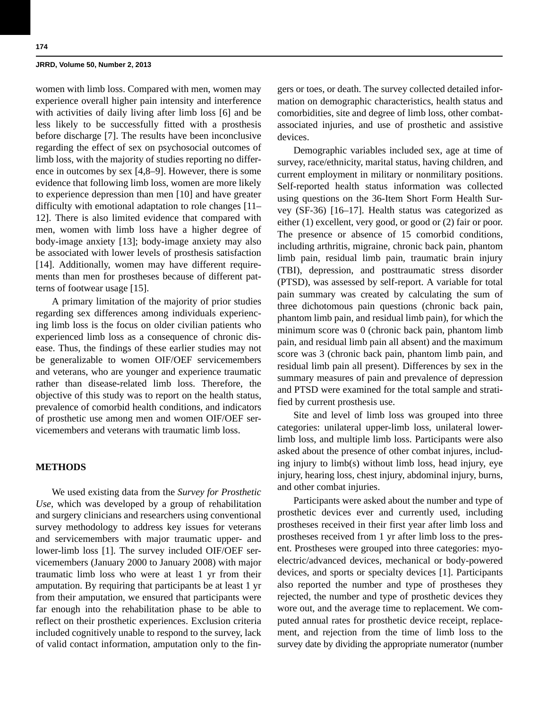women with limb loss. Compared with men, women may experience overall higher pain intensity and interference with activities of daily living after limb loss [6] and be less likely to be successfully fitted with a prosthesis before discharge [7]. The results have been inconclusive regarding the effect of sex on psychosocial outcomes of limb loss, with the majority of studies reporting no difference in outcomes by sex [4,8–9]. However, there is some evidence that following limb loss, women are more likely to experience depression than men [10] and have greater difficulty with emotional adaptation to role changes [11– 12]. There is also limited evidence that compared with men, women with limb loss have a higher degree of body-image anxiety [13]; body-image anxiety may also be associated with lower levels of prosthesis satisfaction [14]. Additionally, women may have different requirements than men for prostheses because of different patterns of footwear usage [15].

A primary limitation of the majority of prior studies regarding sex differences among individuals experiencing limb loss is the focus on older civilian patients who experienced limb loss as a consequence of chronic disease. Thus, the findings of these earlier studies may not be generalizable to women OIF/OEF servicemembers and veterans, who are younger and experience traumatic rather than disease-related limb loss. Therefore, the objective of this study was to report on the health status, prevalence of comorbid health conditions, and indicators of prosthetic use among men and women OIF/OEF servicemembers and veterans with traumatic limb loss.

# **METHODS**

We used existing data from the *Survey for Prosthetic Use*, which was developed by a group of rehabilitation and surgery clinicians and researchers using conventional survey methodology to address key issues for veterans and servicemembers with major traumatic upper- and lower-limb loss [1]. The survey included OIF/OEF servicemembers (January 2000 to January 2008) with major traumatic limb loss who were at least 1 yr from their amputation. By requiring that participants be at least 1 yr from their amputation, we ensured that participants were far enough into the rehabilitation phase to be able to reflect on their prosthetic experiences. Exclusion criteria included cognitively unable to respond to the survey, lack of valid contact information, amputation only to the fingers or toes, or death. The survey collected detailed information on demographic characteristics, health status and comorbidities, site and degree of limb loss, other combatassociated injuries, and use of prosthetic and assistive devices.

Demographic variables included sex, age at time of survey, race/ethnicity, marital status, having children, and current employment in military or nonmilitary positions. Self-reported health status information was collected using questions on the 36-Item Short Form Health Survey (SF-36) [16–17]. Health status was categorized as either (1) excellent, very good, or good or (2) fair or poor. The presence or absence of 15 comorbid conditions, including arthritis, migraine, chronic back pain, phantom limb pain, residual limb pain, traumatic brain injury (TBI), depression, and posttraumatic stress disorder (PTSD), was assessed by self-report. A variable for total pain summary was created by calculating the sum of three dichotomous pain questions (chronic back pain, phantom limb pain, and residual limb pain), for which the minimum score was 0 (chronic back pain, phantom limb pain, and residual limb pain all absent) and the maximum score was 3 (chronic back pain, phantom limb pain, and residual limb pain all present). Differences by sex in the summary measures of pain and prevalence of depression and PTSD were examined for the total sample and stratified by current prosthesis use.

Site and level of limb loss was grouped into three categories: unilateral upper-limb loss, unilateral lowerlimb loss, and multiple limb loss. Participants were also asked about the presence of other combat injures, including injury to limb(s) without limb loss, head injury, eye injury, hearing loss, chest injury, abdominal injury, burns, and other combat injuries.

Participants were asked about the number and type of prosthetic devices ever and currently used, including prostheses received in their first year after limb loss and prostheses received from 1 yr after limb loss to the present. Prostheses were grouped into three categories: myoelectric/advanced devices, mechanical or body-powered devices, and sports or specialty devices [1]. Participants also reported the number and type of prostheses they rejected, the number and type of prosthetic devices they wore out, and the average time to replacement. We computed annual rates for prosthetic device receipt, replacement, and rejection from the time of limb loss to the survey date by dividing the appropriate numerator (number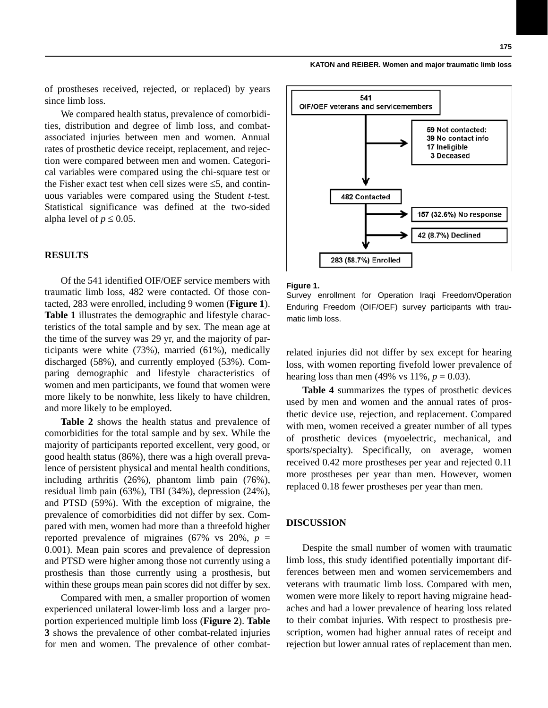of prostheses received, rejected, or replaced) by years since limb loss.

We compared health status, prevalence of comorbidities, distribution and degree of limb loss, and combatassociated injuries between men and women. Annual rates of prosthetic device receipt, replacement, and rejection were compared between men and women. Categorical variables were compared using the chi-square test or the Fisher exact test when cell sizes were  $\leq 5$ , and continuous variables were compared using the Student *t*-test. Statistical significance was defined at the two-sided alpha level of  $p \leq 0.05$ .

# **RESULTS**

Of the 541 identified OIF/OEF service members with traumatic limb loss, 482 were contacted. Of those contacted, 283 were enrolled, including 9 women (**Figure 1**). **Table 1** illustrates the demographic and lifestyle characteristics of the total sample and by sex. The mean age at the time of the survey was 29 yr, and the majority of participants were white (73%), married (61%), medically discharged (58%), and currently employed (53%). Comparing demographic and lifestyle characteristics of women and men participants, we found that women were more likely to be nonwhite, less likely to have children, and more likely to be employed.

**Table 2** shows the health status and prevalence of comorbidities for the total sample and by sex. While the majority of participants reported excellent, very good, or good health status (86%), there was a high overall prevalence of persistent physical and mental health conditions, including arthritis (26%), phantom limb pain (76%), residual limb pain (63%), TBI (34%), depression (24%), and PTSD (59%). With the exception of migraine, the prevalence of comorbidities did not differ by sex. Compared with men, women had more than a threefold higher reported prevalence of migraines (67% vs  $20\%$ ,  $p =$ 0.001). Mean pain scores and prevalence of depression and PTSD were higher among those not currently using a prosthesis than those currently using a prosthesis, but within these groups mean pain scores did not differ by sex.

Compared with men, a smaller proportion of women experienced unilateral lower-limb loss and a larger proportion experienced multiple limb loss (**Figure 2**). **Table 3** shows the prevalence of other combat-related injuries for men and women. The prevalence of other combat-



#### **Figure 1.**

Survey enrollment for Operation Iraqi Freedom/Operation Enduring Freedom (OIF/OEF) survey participants with traumatic limb loss.

related injuries did not differ by sex except for hearing loss, with women reporting fivefold lower prevalence of hearing loss than men (49% vs  $11\%$ ,  $p = 0.03$ ).

**Table 4** summarizes the types of prosthetic devices used by men and women and the annual rates of prosthetic device use, rejection, and replacement. Compared with men, women received a greater number of all types of prosthetic devices (myoelectric, mechanical, and sports/specialty). Specifically, on average, women received 0.42 more prostheses per year and rejected 0.11 more prostheses per year than men. However, women replaced 0.18 fewer prostheses per year than men.

# **DISCUSSION**

Despite the small number of women with traumatic limb loss, this study identified potentially important differences between men and women servicemembers and veterans with traumatic limb loss. Compared with men, women were more likely to report having migraine headaches and had a lower prevalence of hearing loss related to their combat injuries. With respect to prosthesis prescription, women had higher annual rates of receipt and rejection but lower annual rates of replacement than men.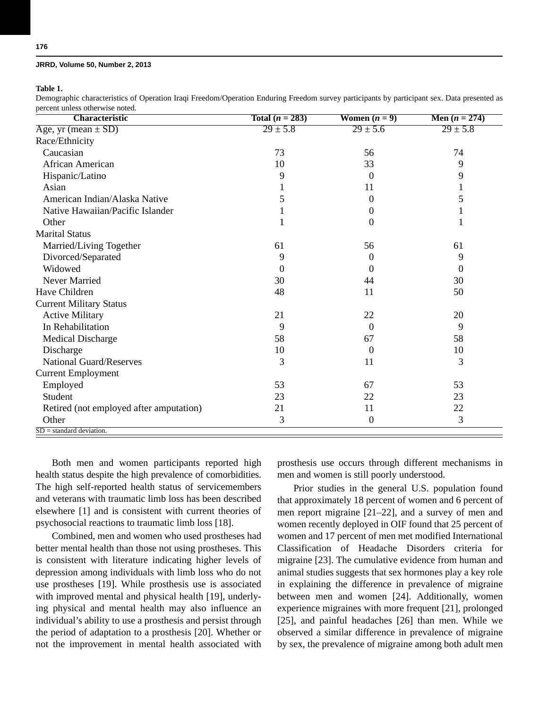**Table 1.**

Demographic characteristics of Operation Iraqi Freedom/Operation Enduring Freedom survey participants by participant sex. Data presented as percent unless otherwise noted.

| <b>Characteristic</b>                   | Total $(n = 283)$ | Women $(n = 9)$ | Men $(n = 274)$ |
|-----------------------------------------|-------------------|-----------------|-----------------|
| Age, $yr$ (mean $\pm$ SD)               | $29 \pm 5.8$      | $29 \pm 5.6$    | $29 \pm 5.8$    |
| Race/Ethnicity                          |                   |                 |                 |
| Caucasian                               | 73                | 56              | 74              |
| African American                        | 10                | 33              | 9               |
| Hispanic/Latino                         | 9                 | $\Omega$        | 9               |
| Asian                                   |                   | 11              | 1               |
| American Indian/Alaska Native           | 5                 | $\Omega$        | 5               |
| Native Hawaiian/Pacific Islander        |                   | 0               |                 |
| Other                                   |                   | 0               |                 |
| <b>Marital Status</b>                   |                   |                 |                 |
| Married/Living Together                 | 61                | 56              | 61              |
| Divorced/Separated                      | 9                 | $\theta$        | 9               |
| Widowed                                 | $\Omega$          | $\Omega$        | 0               |
| Never Married                           | 30                | 44              | 30              |
| Have Children                           | 48                | 11              | 50              |
| <b>Current Military Status</b>          |                   |                 |                 |
| <b>Active Military</b>                  | 21                | 22              | 20              |
| In Rehabilitation                       | 9                 | $\Omega$        | 9               |
| <b>Medical Discharge</b>                | 58                | 67              | 58              |
| Discharge                               | 10                | $\theta$        | 10              |
| <b>National Guard/Reserves</b>          | 3                 | 11              | 3               |
| <b>Current Employment</b>               |                   |                 |                 |
| Employed                                | 53                | 67              | 53              |
| Student                                 | 23                | 22              | 23              |
| Retired (not employed after amputation) | 21                | 11              | 22              |
| Other                                   | 3                 | $\overline{0}$  | 3               |
| $SD = standard deviation$ .             |                   |                 |                 |

Both men and women participants reported high health status despite the high prevalence of comorbidities. The high self-reported health status of servicemembers and veterans with traumatic limb loss has been described elsewhere [1] and is consistent with current theories of psychosocial reactions to traumatic limb loss [18].

Combined, men and women who used prostheses had better mental health than those not using prostheses. This is consistent with literature indicating higher levels of depression among individuals with limb loss who do not use prostheses [19]. While prosthesis use is associated with improved mental and physical health [19], underlying physical and mental health may also influence an individual's ability to use a prosthesis and persist through the period of adaptation to a prosthesis [20]. Whether or not the improvement in mental health associated with prosthesis use occurs through different mechanisms in men and women is still poorly understood.

Prior studies in the general U.S. population found that approximately 18 percent of women and 6 percent of men report migraine [21–22], and a survey of men and women recently deployed in OIF found that 25 percent of women and 17 percent of men met modified International Classification of Headache Disorders criteria for migraine [23]. The cumulative evidence from human and animal studies suggests that sex hormones play a key role in explaining the difference in prevalence of migraine between men and women [24]. Additionally, women experience migraines with more frequent [21], prolonged [25], and painful headaches [26] than men. While we observed a similar difference in prevalence of migraine by sex, the prevalence of migraine among both adult men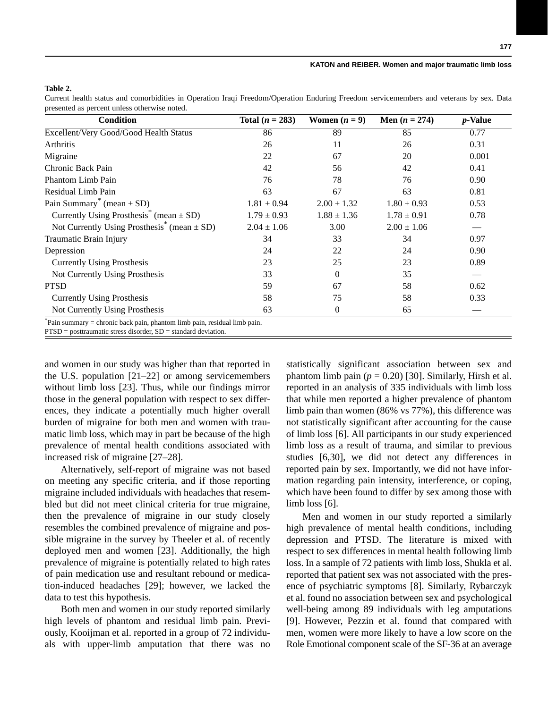# **Table 2.**

Current health status and comorbidities in Operation Iraqi Freedom/Operation Enduring Freedom servicemembers and veterans by sex. Data presented as percent unless otherwise noted.

| <b>Condition</b>                                            | Total $(n = 283)$ | Women $(n = 9)$ | Men $(n = 274)$ | <i>p</i> -Value |
|-------------------------------------------------------------|-------------------|-----------------|-----------------|-----------------|
| Excellent/Very Good/Good Health Status                      | 86                | 89              | 85              | 0.77            |
| <b>Arthritis</b>                                            | 26                | 11              | 26              | 0.31            |
| Migraine                                                    | 22                | 67              | 20              | 0.001           |
| Chronic Back Pain                                           | 42                | 56              | 42              | 0.41            |
| Phantom Limb Pain                                           | 76                | 78              | 76              | 0.90            |
| Residual Limb Pain                                          | 63                | 67              | 63              | 0.81            |
| Pain Summary <sup>*</sup> (mean $\pm$ SD)                   | $1.81 \pm 0.94$   | $2.00 \pm 1.32$ | $1.80 \pm 0.93$ | 0.53            |
| Currently Using Prosthesis <sup>*</sup> (mean $\pm$ SD)     | $1.79 \pm 0.93$   | $1.88 \pm 1.36$ | $1.78 \pm 0.91$ | 0.78            |
| Not Currently Using Prosthesis <sup>*</sup> (mean $\pm$ SD) | $2.04 \pm 1.06$   | 3.00            | $2.00 \pm 1.06$ |                 |
| Traumatic Brain Injury                                      | 34                | 33              | 34              | 0.97            |
| Depression                                                  | 24                | 22              | 24              | 0.90            |
| <b>Currently Using Prosthesis</b>                           | 23                | 25              | 23              | 0.89            |
| Not Currently Using Prosthesis                              | 33                | $\Omega$        | 35              |                 |
| <b>PTSD</b>                                                 | 59                | 67              | 58              | 0.62            |
| <b>Currently Using Prosthesis</b>                           | 58                | 75              | 58              | 0.33            |
| Not Currently Using Prosthesis                              | 63                | $\Omega$        | 65              |                 |

and women in our study was higher than that reported in the U.S. population [21–22] or among servicemembers without limb loss [23]. Thus, while our findings mirror those in the general population with respect to sex differences, they indicate a potentially much higher overall burden of migraine for both men and women with traumatic limb loss, which may in part be because of the high prevalence of mental health conditions associated with increased risk of migraine [27–28].

Alternatively, self-report of migraine was not based on meeting any specific criteria, and if those reporting migraine included individuals with headaches that resembled but did not meet clinical criteria for true migraine, then the prevalence of migraine in our study closely resembles the combined prevalence of migraine and possible migraine in the survey by Theeler et al. of recently deployed men and women [23]. Additionally, the high prevalence of migraine is potentially related to high rates of pain medication use and resultant rebound or medication-induced headaches [29]; however, we lacked the data to test this hypothesis.

Both men and women in our study reported similarly high levels of phantom and residual limb pain. Previously, Kooijman et al. reported in a group of 72 individuals with upper-limb amputation that there was no

statistically significant association between sex and phantom limb pain  $(p = 0.20)$  [30]. Similarly, Hirsh et al. reported in an analysis of 335 individuals with limb loss that while men reported a higher prevalence of phantom limb pain than women (86% vs 77%), this difference was not statistically significant after accounting for the cause of limb loss [6]. All participants in our study experienced limb loss as a result of trauma, and similar to previous studies [6,30], we did not detect any differences in reported pain by sex. Importantly, we did not have information regarding pain intensity, interference, or coping, which have been found to differ by sex among those with limb loss [6].

Men and women in our study reported a similarly high prevalence of mental health conditions, including depression and PTSD. The literature is mixed with respect to sex differences in mental health following limb loss. In a sample of 72 patients with limb loss, Shukla et al. reported that patient sex was not associated with the presence of psychiatric symptoms [8]. Similarly, Rybarczyk et al. found no association between sex and psychological well-being among 89 individuals with leg amputations [9]. However, Pezzin et al. found that compared with men, women were more likely to have a low score on the Role Emotional component scale of the SF-36 at an average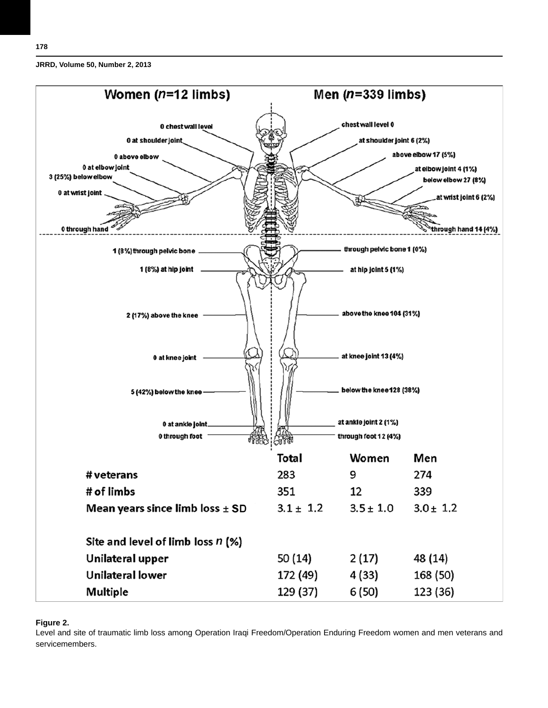



#### **Figure 2.**

Level and site of traumatic limb loss among Operation Iraqi Freedom/Operation Enduring Freedom women and men veterans and servicemembers.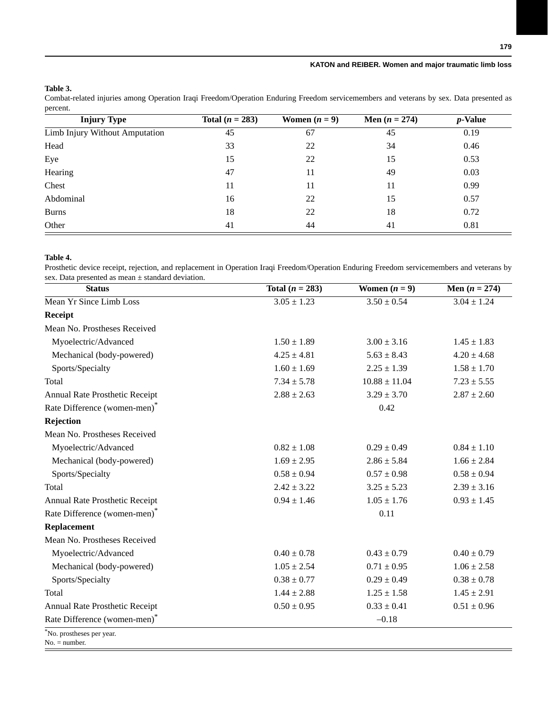# **Table 3.**

Combat-related injuries among Operation Iraqi Freedom/Operation Enduring Freedom servicemembers and veterans by sex. Data presented as percent.

| <b>Injury Type</b>             | Total $(n = 283)$ | Women $(n = 9)$ | Men $(n = 274)$ | $p$ -Value |  |
|--------------------------------|-------------------|-----------------|-----------------|------------|--|
| Limb Injury Without Amputation | 45                | 67              | 45              | 0.19       |  |
| Head                           | 33                | 22              | 34              | 0.46       |  |
| Eye                            | 15                | 22              | 15              | 0.53       |  |
| Hearing                        | 47                | 11              | 49              | 0.03       |  |
| Chest                          | 11                | 11              | 11              | 0.99       |  |
| Abdominal                      | 16                | 22              | 15              | 0.57       |  |
| <b>Burns</b>                   | 18                | 22              | 18              | 0.72       |  |
| Other                          | 41                | 44              | 41              | 0.81       |  |

### **Table 4.**

Prosthetic device receipt, rejection, and replacement in Operation Iraqi Freedom/Operation Enduring Freedom servicemembers and veterans by sex. Data presented as mean ± standard deviation. 

| <b>Status</b>                               | Total $(n = 283)$ | Women $(n = 9)$   | Men $(n = 274)$ |
|---------------------------------------------|-------------------|-------------------|-----------------|
| Mean Yr Since Limb Loss                     | $3.05 \pm 1.23$   | $3.50 \pm 0.54$   | $3.04 \pm 1.24$ |
| Receipt                                     |                   |                   |                 |
| Mean No. Prostheses Received                |                   |                   |                 |
| Myoelectric/Advanced                        | $1.50 \pm 1.89$   | $3.00 \pm 3.16$   | $1.45 \pm 1.83$ |
| Mechanical (body-powered)                   | $4.25 \pm 4.81$   | $5.63 \pm 8.43$   | $4.20 \pm 4.68$ |
| Sports/Specialty                            | $1.60 \pm 1.69$   | $2.25 \pm 1.39$   | $1.58 \pm 1.70$ |
| Total                                       | $7.34 \pm 5.78$   | $10.88 \pm 11.04$ | $7.23 \pm 5.55$ |
| Annual Rate Prosthetic Receipt              | $2.88 \pm 2.63$   | $3.29 \pm 3.70$   | $2.87 \pm 2.60$ |
| Rate Difference (women-men) <sup>*</sup>    |                   | 0.42              |                 |
| Rejection                                   |                   |                   |                 |
| Mean No. Prostheses Received                |                   |                   |                 |
| Myoelectric/Advanced                        | $0.82 \pm 1.08$   | $0.29 \pm 0.49$   | $0.84 \pm 1.10$ |
| Mechanical (body-powered)                   | $1.69 \pm 2.95$   | $2.86 \pm 5.84$   | $1.66 \pm 2.84$ |
| Sports/Specialty                            | $0.58 \pm 0.94$   | $0.57 \pm 0.98$   | $0.58 \pm 0.94$ |
| Total                                       | $2.42 \pm 3.22$   | $3.25 \pm 5.23$   | $2.39 \pm 3.16$ |
| Annual Rate Prosthetic Receipt              | $0.94 \pm 1.46$   | $1.05 \pm 1.76$   | $0.93 \pm 1.45$ |
| Rate Difference (women-men) <sup>*</sup>    |                   | 0.11              |                 |
| <b>Replacement</b>                          |                   |                   |                 |
| Mean No. Prostheses Received                |                   |                   |                 |
| Myoelectric/Advanced                        | $0.40 \pm 0.78$   | $0.43 \pm 0.79$   | $0.40 \pm 0.79$ |
| Mechanical (body-powered)                   | $1.05 \pm 2.54$   | $0.71 \pm 0.95$   | $1.06 \pm 2.58$ |
| Sports/Specialty                            | $0.38 \pm 0.77$   | $0.29 \pm 0.49$   | $0.38 \pm 0.78$ |
| <b>Total</b>                                | $1.44 \pm 2.88$   | $1.25 \pm 1.58$   | $1.45 \pm 2.91$ |
| Annual Rate Prosthetic Receipt              | $0.50 \pm 0.95$   | $0.33 \pm 0.41$   | $0.51 \pm 0.96$ |
| Rate Difference (women-men) <sup>*</sup>    |                   | $-0.18$           |                 |
| No. prostheses per year.<br>$No. = number.$ |                   |                   |                 |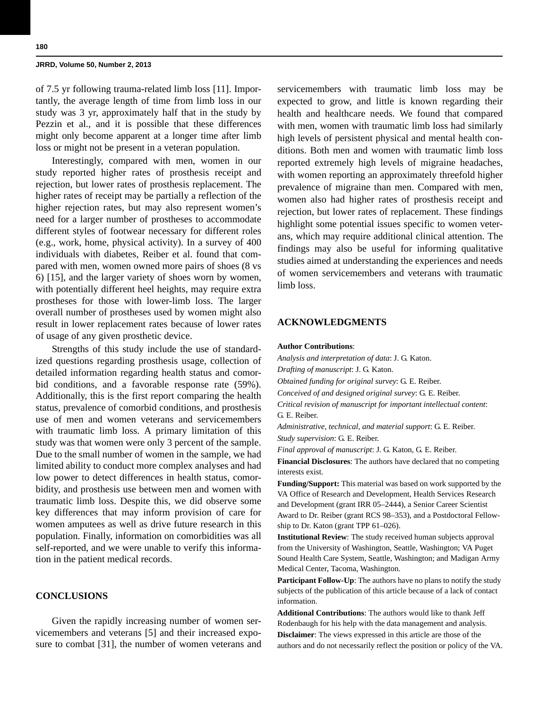of 7.5 yr following trauma-related limb loss [11]. Importantly, the average length of time from limb loss in our study was 3 yr, approximately half that in the study by Pezzin et al., and it is possible that these differences might only become apparent at a longer time after limb loss or might not be present in a veteran population.

Interestingly, compared with men, women in our study reported higher rates of prosthesis receipt and rejection, but lower rates of prosthesis replacement. The higher rates of receipt may be partially a reflection of the higher rejection rates, but may also represent women's need for a larger number of prostheses to accommodate different styles of footwear necessary for different roles (e.g., work, home, physical activity). In a survey of 400 individuals with diabetes, Reiber et al. found that compared with men, women owned more pairs of shoes (8 vs 6) [15], and the larger variety of shoes worn by women, with potentially different heel heights, may require extra prostheses for those with lower-limb loss. The larger overall number of prostheses used by women might also result in lower replacement rates because of lower rates of usage of any given prosthetic device.

Strengths of this study include the use of standardized questions regarding prosthesis usage, collection of detailed information regarding health status and comorbid conditions, and a favorable response rate (59%). Additionally, this is the first report comparing the health status, prevalence of comorbid conditions, and prosthesis use of men and women veterans and servicemembers with traumatic limb loss. A primary limitation of this study was that women were only 3 percent of the sample. Due to the small number of women in the sample, we had limited ability to conduct more complex analyses and had low power to detect differences in health status, comorbidity, and prosthesis use between men and women with traumatic limb loss. Despite this, we did observe some key differences that may inform provision of care for women amputees as well as drive future research in this population. Finally, information on comorbidities was all self-reported, and we were unable to verify this information in the patient medical records.

# **CONCLUSIONS**

Given the rapidly increasing number of women servicemembers and veterans [5] and their increased exposure to combat [31], the number of women veterans and servicemembers with traumatic limb loss may be expected to grow, and little is known regarding their health and healthcare needs. We found that compared with men, women with traumatic limb loss had similarly high levels of persistent physical and mental health conditions. Both men and women with traumatic limb loss reported extremely high levels of migraine headaches, with women reporting an approximately threefold higher prevalence of migraine than men. Compared with men, women also had higher rates of prosthesis receipt and rejection, but lower rates of replacement. These findings highlight some potential issues specific to women veterans, which may require additional clinical attention. The findings may also be useful for informing qualitative studies aimed at understanding the experiences and needs of women servicemembers and veterans with traumatic limb loss.

# **ACKNOWLEDGMENTS**

#### **Author Contributions**:

*Analysis and interpretation of data*: J. G. Katon.

*Drafting of manuscript*: J. G. Katon.

*Obtained funding for original survey*: G. E. Reiber.

*Conceived of and designed original survey*: G. E. Reiber.

*Critical revision of manuscript for important intellectual content*: G. E. Reiber.

*Administrative, technical, and material support*: G. E. Reiber. *Study supervision*: G. E. Reiber.

*Final approval of manuscript*: J. G. Katon, G. E. Reiber.

**Financial Disclosures**: The authors have declared that no competing interests exist.

**Funding/Support:** This material was based on work supported by the VA Office of Research and Development, Health Services Research and Development (grant IRR 05–2444), a Senior Career Scientist Award to Dr. Reiber (grant RCS 98–353), and a Postdoctoral Fellowship to Dr. Katon (grant TPP 61–026).

**Institutional Review**: The study received human subjects approval from the University of Washington, Seattle, Washington; VA Puget Sound Health Care System, Seattle, Washington; and Madigan Army Medical Center, Tacoma, Washington.

**Participant Follow-Up**: The authors have no plans to notify the study subjects of the publication of this article because of a lack of contact information.

**Additional Contributions**: The authors would like to thank Jeff Rodenbaugh for his help with the data management and analysis. **Disclaimer**: The views expressed in this article are those of the authors and do not necessarily reflect the position or policy of the VA.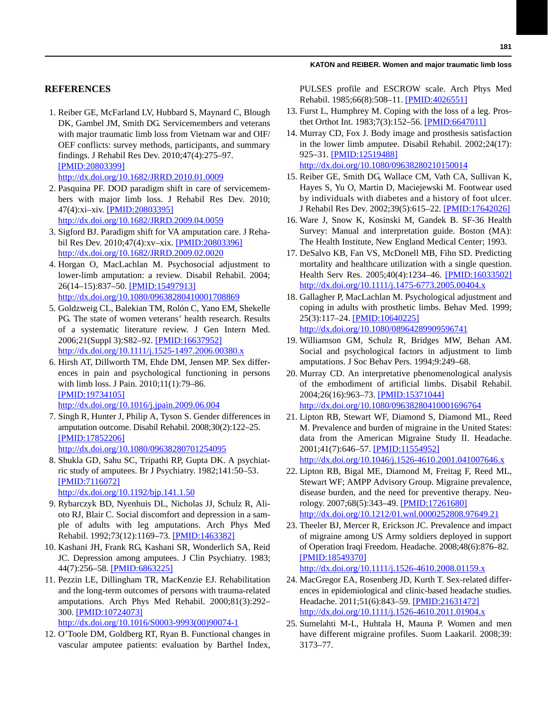# **REFERENCES**

 1. Reiber GE, McFarland LV, Hubbard S, Maynard C, Blough DK, Gambel JM, Smith DG. Servicemembers and veterans with major traumatic limb loss from Vietnam war and OIF/ OEF conflicts: survey methods, participants, and summary findings. J Rehabil Res Dev. 2010;47(4):275–97. [\[PMID:20803399\]](http://www.ncbi.nlm.nih.gov/entrez/query.fcgi?cmd=Retrieve&db=PubMed&list_uids=20803399&dopt=Abstract)

<http://dx.doi.org/10.1682/JRRD.2010.01.0009>

- 2. Pasquina PF. DOD paradigm shift in care of servicemembers with major limb loss. J Rehabil Res Dev. 2010; 47(4):xi–xiv. [\[PMID:20803395\]](http://www.ncbi.nlm.nih.gov/entrez/query.fcgi?cmd=Retrieve&db=PubMed&list_uids=20803395&dopt=Abstract) <http://dx.doi.org/10.1682/JRRD.2009.04.0059>
- 3. Sigford BJ. Paradigm shift for VA amputation care. J Rehabil Res Dev. 2010;47(4):xv–xix. [\[PMID:20803396\]](http://www.ncbi.nlm.nih.gov/entrez/query.fcgi?cmd=Retrieve&db=PubMed&list_uids=20803396&dopt=Abstract) <http://dx.doi.org/10.1682/JRRD.2009.02.0020>
- 4. Horgan O, MacLachlan M. Psychosocial adjustment to lower-limb amputation: a review. Disabil Rehabil. 2004; 26(14–15):837–50. [\[PMID:15497913\]](http://www.ncbi.nlm.nih.gov/entrez/query.fcgi?cmd=Retrieve&db=PubMed&list_uids=15497913&dopt=Abstract) <http://dx.doi.org/10.1080/09638280410001708869>
- 5. Goldzweig CL, Balekian TM, Rolón C, Yano EM, Shekelle PG. The state of women veterans' health research. Results of a systematic literature review. J Gen Intern Med. 2006;21(Suppl 3):S82–92. [\[PMID:16637952\]](http://www.ncbi.nlm.nih.gov/entrez/query.fcgi?cmd=Retrieve&db=PubMed&list_uids=16637952&dopt=Abstract) <http://dx.doi.org/10.1111/j.1525-1497.2006.00380.x>
- 6. Hirsh AT, Dillworth TM, Ehde DM, Jensen MP. Sex differences in pain and psychological functioning in persons with limb loss. J Pain. 2010;11(1):79–86. [\[PMID:19734105\]](http://www.ncbi.nlm.nih.gov/entrez/query.fcgi?cmd=Retrieve&db=PubMed&list_uids=19734105&dopt=Abstract)

<http://dx.doi.org/10.1016/j.jpain.2009.06.004>

- 7. Singh R, Hunter J, Philip A, Tyson S. Gender differences in amputation outcome. Disabil Rehabil. 2008;30(2):122–25. [\[PMID:17852206\]](http://www.ncbi.nlm.nih.gov/entrez/query.fcgi?cmd=Retrieve&db=PubMed&list_uids=17852206&dopt=Abstract) <http://dx.doi.org/10.1080/09638280701254095>
- 8. Shukla GD, Sahu SC, Tripathi RP, Gupta DK. A psychiatric study of amputees. Br J Psychiatry. 1982;141:50–53. [\[PMID:7116072\]](http://www.ncbi.nlm.nih.gov/entrez/query.fcgi?cmd=Retrieve&db=PubMed&list_uids=7116072&dopt=Abstract) <http://dx.doi.org/10.1192/bjp.141.1.50>
- 9. Rybarczyk BD, Nyenhuis DL, Nicholas JJ, Schulz R, Alioto RJ, Blair C. Social discomfort and depression in a sample of adults with leg amputations. Arch Phys Med Rehabil. 1992;73(12):1169–73. [\[PMID:1463382\]](http://www.ncbi.nlm.nih.gov/entrez/query.fcgi?cmd=Retrieve&db=PubMed&list_uids=1463382&dopt=Abstract)
- 10. Kashani JH, Frank RG, Kashani SR, Wonderlich SA, Reid JC. Depression among amputees. J Clin Psychiatry. 1983; 44(7):256–58. [\[PMID:6863225\]](http://www.ncbi.nlm.nih.gov/entrez/query.fcgi?cmd=Retrieve&db=PubMed&list_uids=6863225&dopt=Abstract)
- 11. Pezzin LE, Dillingham TR, MacKenzie EJ. Rehabilitation and the long-term outcomes of persons with trauma-related amputations. Arch Phys Med Rehabil. 2000;81(3):292– 300. [\[PMID:10724073\]](http://www.ncbi.nlm.nih.gov/entrez/query.fcgi?cmd=Retrieve&db=PubMed&list_uids=10724073&dopt=Abstract) [http://dx.doi.org/10.1016/S0003-9993\(00\)90074-1](http://dx.doi.org/10.1016/S0003-9993(00)90074-1)
- 12. O'Toole DM, Goldberg RT, Ryan B. Functional changes in
- vascular amputee patients: evaluation by Barthel Index,

PULSES profile and ESCROW scale. Arch Phys Med Rehabil. 1985;66(8):508–11. [\[PMID:4026551\]](http://www.ncbi.nlm.nih.gov/entrez/query.fcgi?cmd=Retrieve&db=PubMed&list_uids=4026551&dopt=Abstract)

- 13. Furst L, Humphrey M. Coping with the loss of a leg. Prosthet Orthot Int. 1983;7(3):152–56. [\[PMID:6647011\]](http://www.ncbi.nlm.nih.gov/entrez/query.fcgi?cmd=Retrieve&db=PubMed&list_uids=6647011&dopt=Abstract)
- 14. Murray CD, Fox J. Body image and prosthesis satisfaction in the lower limb amputee. Disabil Rehabil. 2002;24(17): 925–31. [\[PMID:12519488\]](http://www.ncbi.nlm.nih.gov/entrez/query.fcgi?cmd=Retrieve&db=PubMed&list_uids=12519488&dopt=Abstract) <http://dx.doi.org/10.1080/09638280210150014>
- 15. Reiber GE, Smith DG, Wallace CM, Vath CA, Sullivan K, Hayes S, Yu O, Martin D, Maciejewski M. Footwear used by individuals with diabetes and a history of foot ulcer. J Rehabil Res Dev. 2002;39(5):615–22. [\[PMID:17642026\]](http://www.ncbi.nlm.nih.gov/entrez/query.fcgi?cmd=Retrieve&db=PubMed&list_uids=17642026&dopt=Abstract)
- 16. Ware J, Snow K, Kosinski M, Gandek B. SF-36 Health Survey: Manual and interpretation guide. Boston (MA): The Health Institute, New England Medical Center; 1993.
- 17. DeSalvo KB, Fan VS, McDonell MB, Fihn SD. Predicting mortality and healthcare utilization with a single question. Health Serv Res. 2005;40(4):1234–46. [\[PMID:16033502\]](http://www.ncbi.nlm.nih.gov/entrez/query.fcgi?cmd=Retrieve&db=PubMed&list_uids=16033502&dopt=Abstract) <http://dx.doi.org/10.1111/j.1475-6773.2005.00404.x>
- 18. Gallagher P, MacLachlan M. Psychological adjustment and coping in adults with prosthetic limbs. Behav Med. 1999; 25(3):117–24. [\[PMID:10640225\]](http://www.ncbi.nlm.nih.gov/entrez/query.fcgi?cmd=Retrieve&db=PubMed&list_uids=10640225&dopt=Abstract) <http://dx.doi.org/10.1080/08964289909596741>
- 19. Williamson GM, Schulz R, Bridges MW, Behan AM. Social and psychological factors in adjustment to limb amputations. J Soc Behav Pers. 1994;9:249–68.
- 20. Murray CD. An interpretative phenomenological analysis of the embodiment of artificial limbs. Disabil Rehabil. 2004;26(16):963–73. [\[PMID:15371044\]](http://www.ncbi.nlm.nih.gov/entrez/query.fcgi?cmd=Retrieve&db=PubMed&list_uids=15371044&dopt=Abstract) <http://dx.doi.org/10.1080/09638280410001696764>
- 21. Lipton RB, Stewart WF, Diamond S, Diamond ML, Reed M. Prevalence and burden of migraine in the United States: data from the American Migraine Study II. Headache. 2001;41(7):646–57. [\[PMID:11554952\]](http://www.ncbi.nlm.nih.gov/entrez/query.fcgi?cmd=Retrieve&db=PubMed&list_uids=11554952&dopt=Abstract) <http://dx.doi.org/10.1046/j.1526-4610.2001.041007646.x>
- 22. Lipton RB, Bigal ME, Diamond M, Freitag F, Reed ML, Stewart WF; AMPP Advisory Group. Migraine prevalence, disease burden, and the need for preventive therapy. Neurology. 2007;68(5):343–49. [\[PMID:17261680\]](http://www.ncbi.nlm.nih.gov/entrez/query.fcgi?cmd=Retrieve&db=PubMed&list_uids=17261680&dopt=Abstract) <http://dx.doi.org/10.1212/01.wnl.0000252808.97649.21>
- 23. Theeler BJ, Mercer R, Erickson JC. Prevalence and impact of migraine among US Army soldiers deployed in support of Operation Iraqi Freedom. Headache. 2008;48(6):876–82. [\[PMID:18549370\]](http://www.ncbi.nlm.nih.gov/entrez/query.fcgi?cmd=Retrieve&db=PubMed&list_uids=18549370&dopt=Abstract)

<http://dx.doi.org/10.1111/j.1526-4610.2008.01159.x>

- 24. MacGregor EA, Rosenberg JD, Kurth T. Sex-related differences in epidemiological and clinic-based headache studies. Headache. 2011;51(6):843–59. [\[PMID:21631472\]](http://dx.doi.org/10.1111/j.1526-4610.2011.01904.x) <http://dx.doi.org/10.1111/j.1526-4610.2011.01904.x>
- 25. Sumelahti M-L, Huhtala H, Mauna P. Women and men have different migraine profiles. Suom Laakaril. 2008;39: 3173–77.